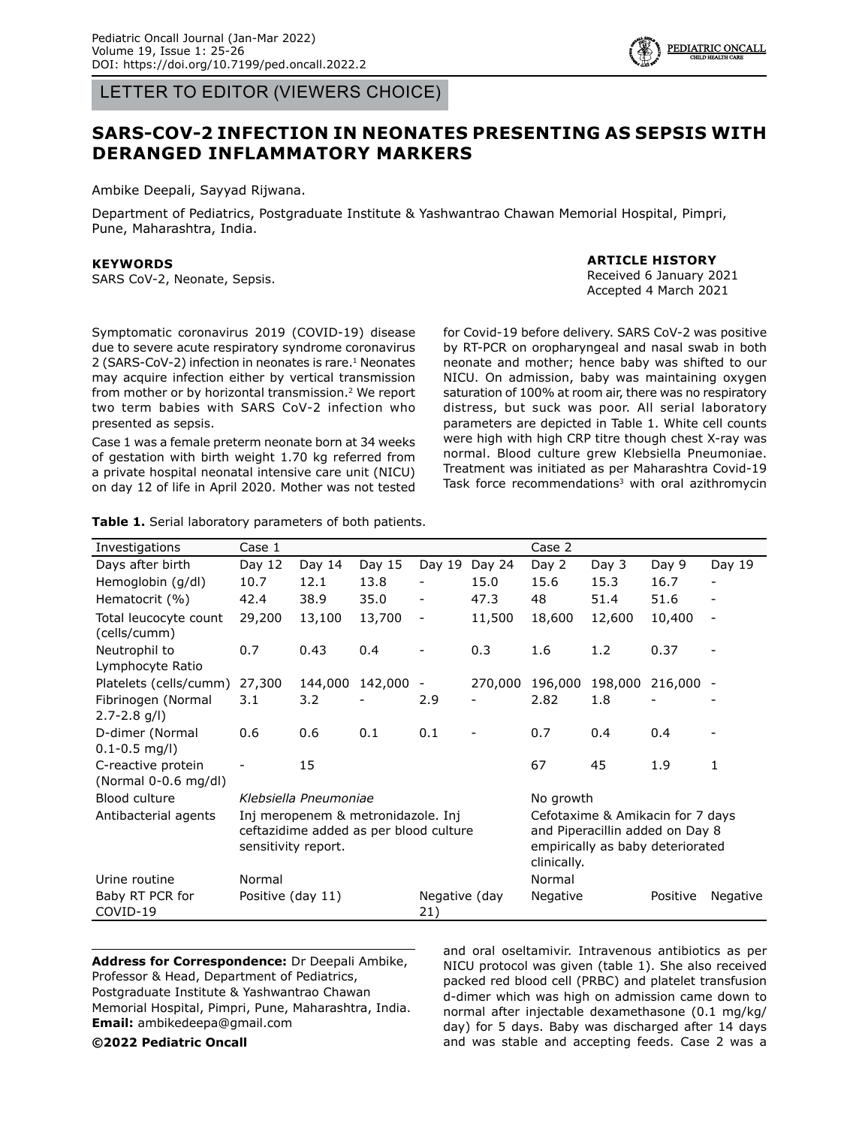LETTER TO EDITOR (VIEWERS CHOICE)

## **SARS-COV-2 INFECTION IN NEONATES PRESENTING AS SEPSIS WITH DERANGED INFLAMMATORY MARKERS**

Ambike Deepali, Sayyad Rijwana.

Department of Pediatrics, Postgraduate Institute & Yashwantrao Chawan Memorial Hospital, Pimpri, Pune, Maharashtra, India.

## **KEYWORDS**

SARS CoV-2, Neonate, Sepsis.

Symptomatic coronavirus 2019 (COVID-19) disease due to severe acute respiratory syndrome coronavirus 2 (SARS-CoV-2) infection in neonates is rare.<sup>1</sup> Neonates may acquire infection either by vertical transmission from mother or by horizontal transmission.<sup>2</sup> We report two term babies with SARS CoV-2 infection who presented as sepsis.

Case 1 was a female preterm neonate born at 34 weeks of gestation with birth weight 1.70 kg referred from a private hospital neonatal intensive care unit (NICU) on day 12 of life in April 2020. Mother was not tested **ARTICLE HISTORY** Received 6 January 2021 Accepted 4 March 2021

for Covid-19 before delivery. SARS CoV-2 was positive by RT-PCR on oropharyngeal and nasal swab in both neonate and mother; hence baby was shifted to our NICU. On admission, baby was maintaining oxygen saturation of 100% at room air, there was no respiratory distress, but suck was poor. All serial laboratory parameters are depicted in Table 1. White cell counts were high with high CRP titre though chest X-ray was normal. Blood culture grew Klebsiella Pneumoniae. Treatment was initiated as per Maharashtra Covid-19 Task force recommendations<sup>3</sup> with oral azithromycin

| <b>Habit 1:</b> Scribi Robinatory parameters of both patients. |                                                                                                     |          |          |                          |         |                                                                                                                        |         |             |              |
|----------------------------------------------------------------|-----------------------------------------------------------------------------------------------------|----------|----------|--------------------------|---------|------------------------------------------------------------------------------------------------------------------------|---------|-------------|--------------|
| Investigations                                                 | Case 1                                                                                              |          |          |                          |         | Case 2                                                                                                                 |         |             |              |
| Days after birth                                               | Day 12                                                                                              | Day $14$ | Day $15$ | Day 19                   | Day 24  | Day 2                                                                                                                  | Day 3   | Day 9       | Day $19$     |
| Hemoglobin (g/dl)                                              | 10.7                                                                                                | 12.1     | 13.8     | $\qquad \qquad -$        | 15.0    | 15.6                                                                                                                   | 15.3    | 16.7        |              |
| Hematocrit (%)                                                 | 42.4                                                                                                | 38.9     | 35.0     | $\overline{\phantom{a}}$ | 47.3    | 48                                                                                                                     | 51.4    | 51.6        |              |
| Total leucocyte count<br>(cells/cumm)                          | 29,200                                                                                              | 13,100   | 13,700   | $\overline{\phantom{a}}$ | 11,500  | 18,600                                                                                                                 | 12,600  | 10,400      |              |
| Neutrophil to<br>Lymphocyte Ratio                              | 0.7                                                                                                 | 0.43     | 0.4      |                          | 0.3     | 1.6                                                                                                                    | 1.2     | 0.37        |              |
| Platelets (cells/cumm)                                         | 27,300                                                                                              | 144,000  | 142,000  | $\overline{\phantom{a}}$ | 270,000 | 196,000                                                                                                                | 198,000 | $216,000 -$ |              |
| Fibrinogen (Normal<br>$2.7 - 2.8$ g/l)                         | 3.1                                                                                                 | 3.2      |          | 2.9                      |         | 2.82                                                                                                                   | 1.8     |             |              |
| D-dimer (Normal<br>$0.1 - 0.5$ mg/l)                           | 0.6                                                                                                 | 0.6      | 0.1      | 0.1                      |         | 0.7                                                                                                                    | 0.4     | 0.4         |              |
| C-reactive protein<br>(Normal 0-0.6 mg/dl)                     |                                                                                                     | 15       |          |                          |         | 67                                                                                                                     | 45      | 1.9         | $\mathbf{1}$ |
| <b>Blood culture</b>                                           | Klebsiella Pneumoniae                                                                               |          |          |                          |         | No growth                                                                                                              |         |             |              |
| Antibacterial agents                                           | Inj meropenem & metronidazole. Inj<br>ceftazidime added as per blood culture<br>sensitivity report. |          |          |                          |         | Cefotaxime & Amikacin for 7 days<br>and Piperacillin added on Day 8<br>empirically as baby deteriorated<br>clinically. |         |             |              |
| Urine routine                                                  | Normal                                                                                              |          |          |                          |         | Normal                                                                                                                 |         |             |              |
| Baby RT PCR for<br>COVID-19                                    | Positive (day 11)                                                                                   |          |          | Negative (day<br>21)     |         | Negative                                                                                                               |         | Positive    | Negative     |

**Table 1.** Serial laboratory parameters of both patients.

**Address for Correspondence:** Dr Deepali Ambike, Professor & Head, Department of Pediatrics, Postgraduate Institute & Yashwantrao Chawan Memorial Hospital, Pimpri, Pune, Maharashtra, India. **Email:** ambikedeepa@gmail.com

**©2022 Pediatric Oncall**

and oral oseltamivir. Intravenous antibiotics as per NICU protocol was given (table 1). She also received packed red blood cell (PRBC) and platelet transfusion d-dimer which was high on admission came down to normal after injectable dexamethasone (0.1 mg/kg/ day) for 5 days. Baby was discharged after 14 days and was stable and accepting feeds. Case 2 was a